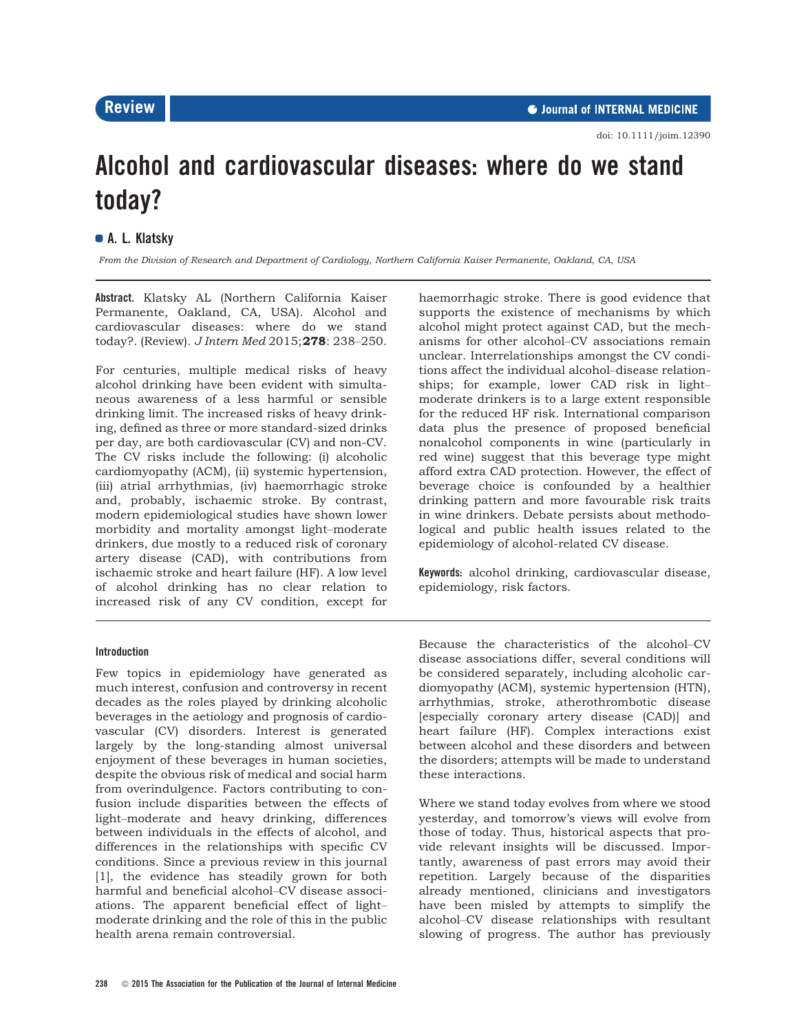# **Review**

# Alcohol and cardiovascular diseases: where do we stand today?

# A. L. Klatsky

From the Division of Research and Department of Cardiology, Northern California Kaiser Permanente, Oakland, CA, USA

Abstract. Klatsky AL (Northern California Kaiser Permanente, Oakland, CA, USA). Alcohol and cardiovascular diseases: where do we stand today?. (Review). J Intern Med 2015;278[: 238](info:doi/10.1111/joim.12390)–250.

For centuries, multiple medical risks of heavy alcohol drinking have been evident with simultaneous awareness of a less harmful or sensible drinking limit. The increased risks of heavy drinking, defined as three or more standard-sized drinks per day, are both cardiovascular (CV) and non-CV. The CV risks include the following: (i) alcoholic cardiomyopathy (ACM), (ii) systemic hypertension, (iii) atrial arrhythmias, (iv) haemorrhagic stroke and, probably, ischaemic stroke. By contrast, modern epidemiological studies have shown lower morbidity and mortality amongst light–moderate drinkers, due mostly to a reduced risk of coronary artery disease (CAD), with contributions from ischaemic stroke and heart failure (HF). A low level of alcohol drinking has no clear relation to increased risk of any CV condition, except for

# Introduction

Few topics in epidemiology have generated as much interest, confusion and controversy in recent decades as the roles played by drinking alcoholic beverages in the aetiology and prognosis of cardiovascular (CV) disorders. Interest is generated largely by the long-standing almost universal enjoyment of these beverages in human societies, despite the obvious risk of medical and social harm from overindulgence. Factors contributing to confusion include disparities between the effects of light–moderate and heavy drinking, differences between individuals in the effects of alcohol, and differences in the relationships with specific CV conditions. Since a previous review in this journal [1], the evidence has steadily grown for both harmful and beneficial alcohol–CV disease associations. The apparent beneficial effect of light– moderate drinking and the role of this in the public health arena remain controversial.

haemorrhagic stroke. There is good evidence that supports the existence of mechanisms by which alcohol might protect against CAD, but the mechanisms for other alcohol–CV associations remain unclear. Interrelationships amongst the CV conditions affect the individual alcohol–disease relationships; for example, lower CAD risk in light– moderate drinkers is to a large extent responsible for the reduced HF risk. International comparison data plus the presence of proposed beneficial nonalcohol components in wine (particularly in red wine) suggest that this beverage type might afford extra CAD protection. However, the effect of beverage choice is confounded by a healthier drinking pattern and more favourable risk traits in wine drinkers. Debate persists about methodological and public health issues related to the epidemiology of alcohol-related CV disease.

Keywords: alcohol drinking, cardiovascular disease, epidemiology, risk factors.

Because the characteristics of the alcohol–CV disease associations differ, several conditions will be considered separately, including alcoholic cardiomyopathy (ACM), systemic hypertension (HTN), arrhythmias, stroke, atherothrombotic disease [especially coronary artery disease (CAD)] and heart failure (HF). Complex interactions exist between alcohol and these disorders and between the disorders; attempts will be made to understand these interactions.

Where we stand today evolves from where we stood yesterday, and tomorrow's views will evolve from those of today. Thus, historical aspects that provide relevant insights will be discussed. Importantly, awareness of past errors may avoid their repetition. Largely because of the disparities already mentioned, clinicians and investigators have been misled by attempts to simplify the alcohol–CV disease relationships with resultant slowing of progress. The author has previously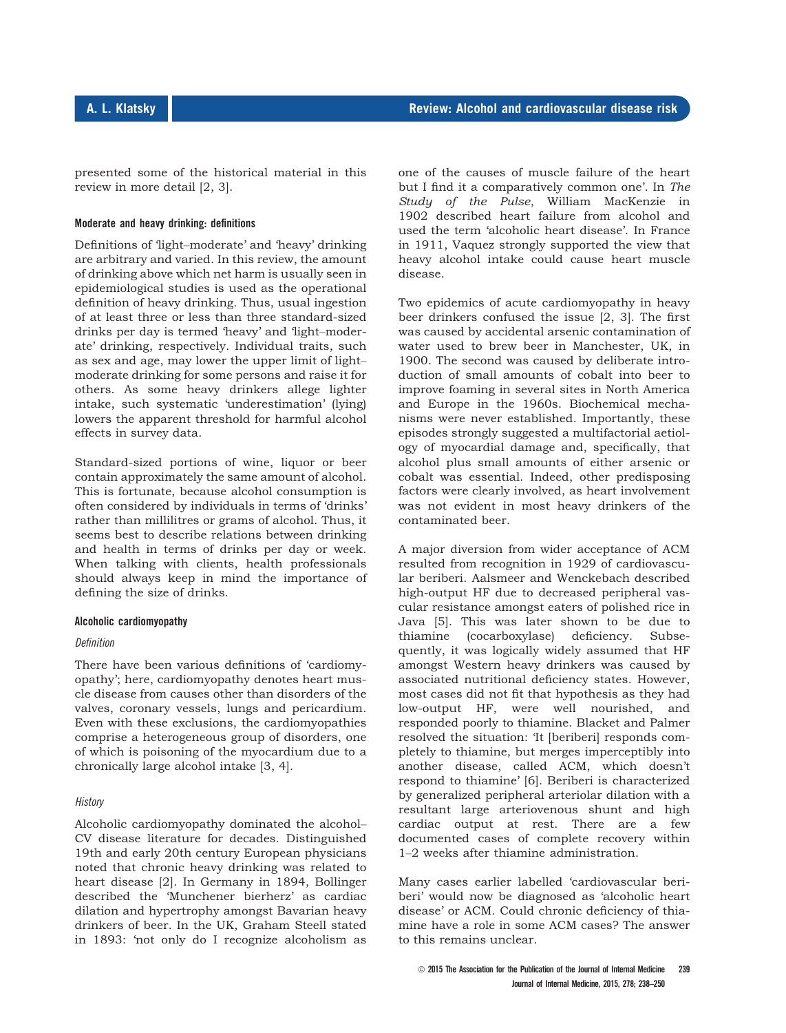presented some of the historical material in this review in more detail [2, 3].

# Moderate and heavy drinking: definitions

Definitions of 'light–moderate' and 'heavy' drinking are arbitrary and varied. In this review, the amount of drinking above which net harm is usually seen in epidemiological studies is used as the operational definition of heavy drinking. Thus, usual ingestion of at least three or less than three standard-sized drinks per day is termed 'heavy' and 'light–moderate' drinking, respectively. Individual traits, such as sex and age, may lower the upper limit of light– moderate drinking for some persons and raise it for others. As some heavy drinkers allege lighter intake, such systematic 'underestimation' (lying) lowers the apparent threshold for harmful alcohol effects in survey data.

Standard-sized portions of wine, liquor or beer contain approximately the same amount of alcohol. This is fortunate, because alcohol consumption is often considered by individuals in terms of 'drinks' rather than millilitres or grams of alcohol. Thus, it seems best to describe relations between drinking and health in terms of drinks per day or week. When talking with clients, health professionals should always keep in mind the importance of defining the size of drinks.

# Alcoholic cardiomyopathy

# **Definition**

There have been various definitions of 'cardiomyopathy'; here, cardiomyopathy denotes heart muscle disease from causes other than disorders of the valves, coronary vessels, lungs and pericardium. Even with these exclusions, the cardiomyopathies comprise a heterogeneous group of disorders, one of which is poisoning of the myocardium due to a chronically large alcohol intake [3, 4].

# **History**

Alcoholic cardiomyopathy dominated the alcohol– CV disease literature for decades. Distinguished 19th and early 20th century European physicians noted that chronic heavy drinking was related to heart disease [2]. In Germany in 1894, Bollinger described the 'Munchener bierherz' as cardiac dilation and hypertrophy amongst Bavarian heavy drinkers of beer. In the UK, Graham Steell stated in 1893: 'not only do I recognize alcoholism as

one of the causes of muscle failure of the heart but I find it a comparatively common one'. In The Study of the Pulse, William MacKenzie in 1902 described heart failure from alcohol and used the term 'alcoholic heart disease'. In France in 1911, Vaquez strongly supported the view that heavy alcohol intake could cause heart muscle disease.

Two epidemics of acute cardiomyopathy in heavy beer drinkers confused the issue [2, 3]. The first was caused by accidental arsenic contamination of water used to brew beer in Manchester, UK, in 1900. The second was caused by deliberate introduction of small amounts of cobalt into beer to improve foaming in several sites in North America and Europe in the 1960s. Biochemical mechanisms were never established. Importantly, these episodes strongly suggested a multifactorial aetiology of myocardial damage and, specifically, that alcohol plus small amounts of either arsenic or cobalt was essential. Indeed, other predisposing factors were clearly involved, as heart involvement was not evident in most heavy drinkers of the contaminated beer.

A major diversion from wider acceptance of ACM resulted from recognition in 1929 of cardiovascular beriberi. Aalsmeer and Wenckebach described high-output HF due to decreased peripheral vascular resistance amongst eaters of polished rice in Java [5]. This was later shown to be due to thiamine (cocarboxylase) deficiency. Subsequently, it was logically widely assumed that HF amongst Western heavy drinkers was caused by associated nutritional deficiency states. However, most cases did not fit that hypothesis as they had low-output HF, were well nourished, and responded poorly to thiamine. Blacket and Palmer resolved the situation: 'It [beriberi] responds completely to thiamine, but merges imperceptibly into another disease, called ACM, which doesn't respond to thiamine' [6]. Beriberi is characterized by generalized peripheral arteriolar dilation with a resultant large arteriovenous shunt and high cardiac output at rest. There are a few documented cases of complete recovery within 1–2 weeks after thiamine administration.

Many cases earlier labelled 'cardiovascular beriberi' would now be diagnosed as 'alcoholic heart disease' or ACM. Could chronic deficiency of thiamine have a role in some ACM cases? The answer to this remains unclear.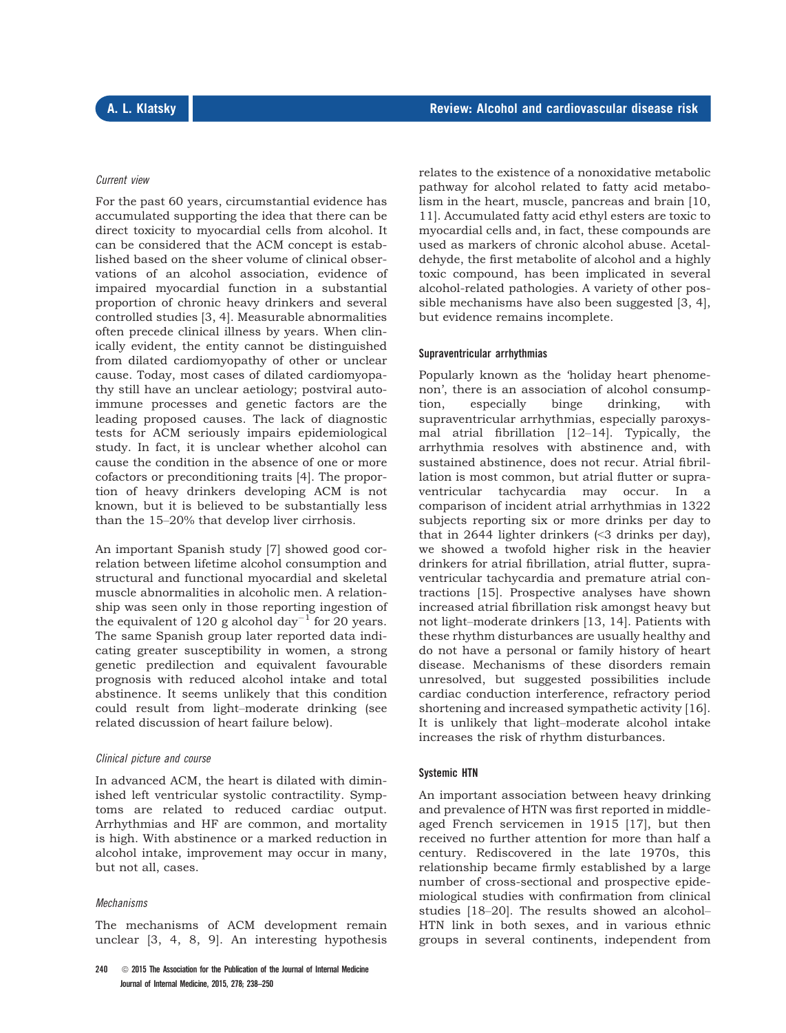# Current view

For the past 60 years, circumstantial evidence has accumulated supporting the idea that there can be direct toxicity to myocardial cells from alcohol. It can be considered that the ACM concept is established based on the sheer volume of clinical observations of an alcohol association, evidence of impaired myocardial function in a substantial proportion of chronic heavy drinkers and several controlled studies [3, 4]. Measurable abnormalities often precede clinical illness by years. When clinically evident, the entity cannot be distinguished from dilated cardiomyopathy of other or unclear cause. Today, most cases of dilated cardiomyopathy still have an unclear aetiology; postviral autoimmune processes and genetic factors are the leading proposed causes. The lack of diagnostic tests for ACM seriously impairs epidemiological study. In fact, it is unclear whether alcohol can cause the condition in the absence of one or more cofactors or preconditioning traits [4]. The proportion of heavy drinkers developing ACM is not known, but it is believed to be substantially less than the 15–20% that develop liver cirrhosis.

An important Spanish study [7] showed good correlation between lifetime alcohol consumption and structural and functional myocardial and skeletal muscle abnormalities in alcoholic men. A relationship was seen only in those reporting ingestion of the equivalent of 120 g alcohol day<sup>-1</sup> for 20 years. The same Spanish group later reported data indicating greater susceptibility in women, a strong genetic predilection and equivalent favourable prognosis with reduced alcohol intake and total abstinence. It seems unlikely that this condition could result from light–moderate drinking (see related discussion of heart failure below).

# Clinical picture and course

In advanced ACM, the heart is dilated with diminished left ventricular systolic contractility. Symptoms are related to reduced cardiac output. Arrhythmias and HF are common, and mortality is high. With abstinence or a marked reduction in alcohol intake, improvement may occur in many, but not all, cases.

# Mechanisms

The mechanisms of ACM development remain unclear [3, 4, 8, 9]. An interesting hypothesis relates to the existence of a nonoxidative metabolic pathway for alcohol related to fatty acid metabolism in the heart, muscle, pancreas and brain [10, 11]. Accumulated fatty acid ethyl esters are toxic to myocardial cells and, in fact, these compounds are used as markers of chronic alcohol abuse. Acetaldehyde, the first metabolite of alcohol and a highly toxic compound, has been implicated in several alcohol-related pathologies. A variety of other possible mechanisms have also been suggested [3, 4], but evidence remains incomplete.

### Supraventricular arrhythmias

Popularly known as the 'holiday heart phenomenon', there is an association of alcohol consumption, especially binge drinking, with supraventricular arrhythmias, especially paroxysmal atrial fibrillation [12–14]. Typically, the arrhythmia resolves with abstinence and, with sustained abstinence, does not recur. Atrial fibrillation is most common, but atrial flutter or supraventricular tachycardia may occur. In a comparison of incident atrial arrhythmias in 1322 subjects reporting six or more drinks per day to that in 2644 lighter drinkers (<3 drinks per day), we showed a twofold higher risk in the heavier drinkers for atrial fibrillation, atrial flutter, supraventricular tachycardia and premature atrial contractions [15]. Prospective analyses have shown increased atrial fibrillation risk amongst heavy but not light–moderate drinkers [13, 14]. Patients with these rhythm disturbances are usually healthy and do not have a personal or family history of heart disease. Mechanisms of these disorders remain unresolved, but suggested possibilities include cardiac conduction interference, refractory period shortening and increased sympathetic activity [16]. It is unlikely that light–moderate alcohol intake increases the risk of rhythm disturbances.

### Systemic HTN

An important association between heavy drinking and prevalence of HTN was first reported in middleaged French servicemen in 1915 [17], but then received no further attention for more than half a century. Rediscovered in the late 1970s, this relationship became firmly established by a large number of cross-sectional and prospective epidemiological studies with confirmation from clinical studies [18–20]. The results showed an alcohol– HTN link in both sexes, and in various ethnic groups in several continents, independent from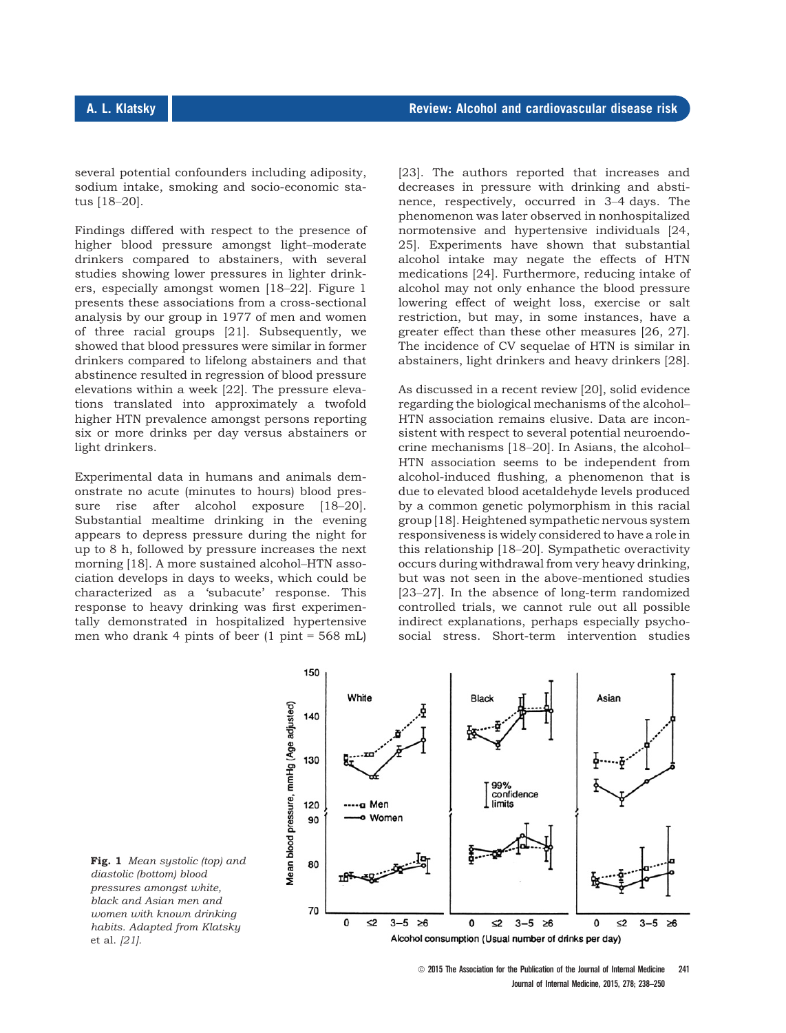several potential confounders including adiposity, sodium intake, smoking and socio-economic status [18–20].

Findings differed with respect to the presence of higher blood pressure amongst light–moderate drinkers compared to abstainers, with several studies showing lower pressures in lighter drinkers, especially amongst women [18–22]. Figure 1 presents these associations from a cross-sectional analysis by our group in 1977 of men and women of three racial groups [21]. Subsequently, we showed that blood pressures were similar in former drinkers compared to lifelong abstainers and that abstinence resulted in regression of blood pressure elevations within a week [22]. The pressure elevations translated into approximately a twofold higher HTN prevalence amongst persons reporting six or more drinks per day versus abstainers or light drinkers.

Experimental data in humans and animals demonstrate no acute (minutes to hours) blood pressure rise after alcohol exposure [18–20]. Substantial mealtime drinking in the evening appears to depress pressure during the night for up to 8 h, followed by pressure increases the next morning [18]. A more sustained alcohol–HTN association develops in days to weeks, which could be characterized as a 'subacute' response. This response to heavy drinking was first experimentally demonstrated in hospitalized hypertensive men who drank 4 pints of beer (1 pint = 568 mL)

[23]. The authors reported that increases and decreases in pressure with drinking and abstinence, respectively, occurred in 3–4 days. The phenomenon was later observed in nonhospitalized normotensive and hypertensive individuals [24, 25]. Experiments have shown that substantial alcohol intake may negate the effects of HTN medications [24]. Furthermore, reducing intake of alcohol may not only enhance the blood pressure lowering effect of weight loss, exercise or salt restriction, but may, in some instances, have a greater effect than these other measures [26, 27]. The incidence of CV sequelae of HTN is similar in abstainers, light drinkers and heavy drinkers [28].

As discussed in a recent review [20], solid evidence regarding the biological mechanisms of the alcohol– HTN association remains elusive. Data are inconsistent with respect to several potential neuroendocrine mechanisms [18–20]. In Asians, the alcohol– HTN association seems to be independent from alcohol-induced flushing, a phenomenon that is due to elevated blood acetaldehyde levels produced by a common genetic polymorphism in this racial group [18]. Heightened sympathetic nervous system responsiveness is widely considered to have a role in this relationship [18–20]. Sympathetic overactivity occurs during withdrawal from very heavy drinking, but was not seen in the above-mentioned studies [23–27]. In the absence of long-term randomized controlled trials, we cannot rule out all possible indirect explanations, perhaps especially psychosocial stress. Short-term intervention studies





 $\odot$  2015 The Association for the Publication of the Journal of Internal Medicine 241 Journal of Internal Medicine, 2015, 278; 238–250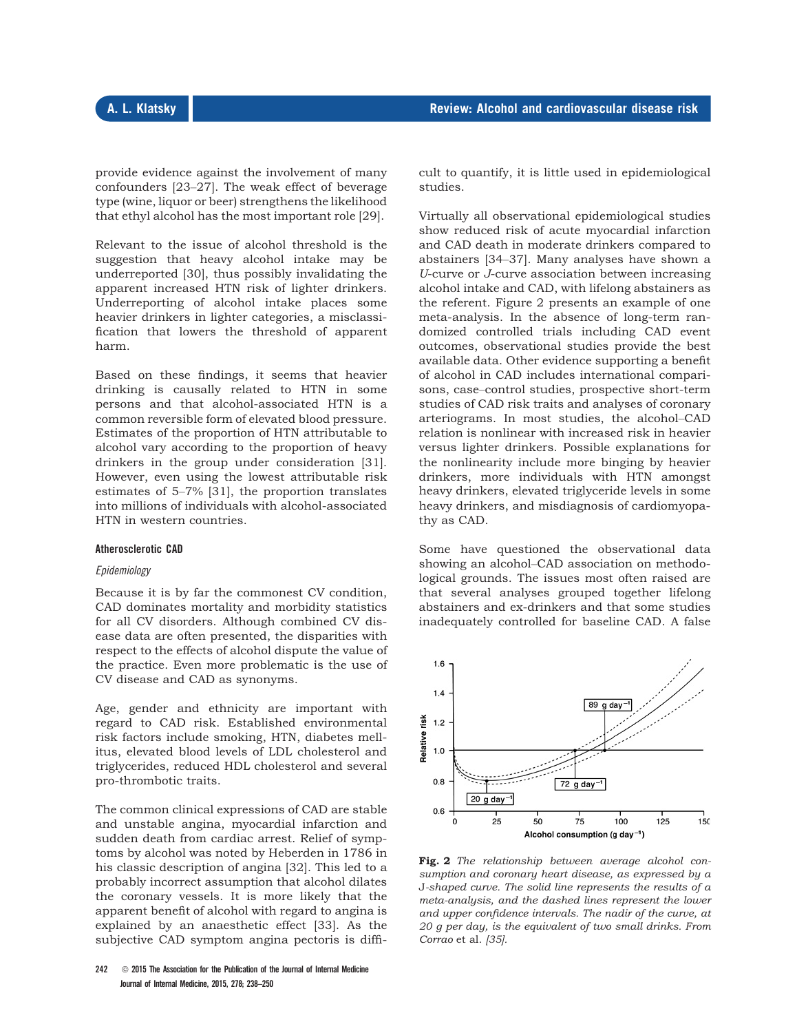provide evidence against the involvement of many confounders [23–27]. The weak effect of beverage type (wine, liquor or beer) strengthens the likelihood that ethyl alcohol has the most important role [29].

Relevant to the issue of alcohol threshold is the suggestion that heavy alcohol intake may be underreported [30], thus possibly invalidating the apparent increased HTN risk of lighter drinkers. Underreporting of alcohol intake places some heavier drinkers in lighter categories, a misclassification that lowers the threshold of apparent harm.

Based on these findings, it seems that heavier drinking is causally related to HTN in some persons and that alcohol-associated HTN is a common reversible form of elevated blood pressure. Estimates of the proportion of HTN attributable to alcohol vary according to the proportion of heavy drinkers in the group under consideration [31]. However, even using the lowest attributable risk estimates of 5–7% [31], the proportion translates into millions of individuals with alcohol-associated HTN in western countries.

# Atherosclerotic CAD

#### Epidemiology

Because it is by far the commonest CV condition, CAD dominates mortality and morbidity statistics for all CV disorders. Although combined CV disease data are often presented, the disparities with respect to the effects of alcohol dispute the value of the practice. Even more problematic is the use of CV disease and CAD as synonyms.

Age, gender and ethnicity are important with regard to CAD risk. Established environmental risk factors include smoking, HTN, diabetes mellitus, elevated blood levels of LDL cholesterol and triglycerides, reduced HDL cholesterol and several pro-thrombotic traits.

The common clinical expressions of CAD are stable and unstable angina, myocardial infarction and sudden death from cardiac arrest. Relief of symptoms by alcohol was noted by Heberden in 1786 in his classic description of angina [32]. This led to a probably incorrect assumption that alcohol dilates the coronary vessels. It is more likely that the apparent benefit of alcohol with regard to angina is explained by an anaesthetic effect [33]. As the subjective CAD symptom angina pectoris is diffi-

242 <sup>©</sup> 2015 The Association for the Publication of the Journal of Internal Medicine Journal of Internal Medicine, 2015, 278; 238–250

cult to quantify, it is little used in epidemiological studies.

Virtually all observational epidemiological studies show reduced risk of acute myocardial infarction and CAD death in moderate drinkers compared to abstainers [34–37]. Many analyses have shown a U-curve or J-curve association between increasing alcohol intake and CAD, with lifelong abstainers as the referent. Figure 2 presents an example of one meta-analysis. In the absence of long-term randomized controlled trials including CAD event outcomes, observational studies provide the best available data. Other evidence supporting a benefit of alcohol in CAD includes international comparisons, case–control studies, prospective short-term studies of CAD risk traits and analyses of coronary arteriograms. In most studies, the alcohol–CAD relation is nonlinear with increased risk in heavier versus lighter drinkers. Possible explanations for the nonlinearity include more binging by heavier drinkers, more individuals with HTN amongst heavy drinkers, elevated triglyceride levels in some heavy drinkers, and misdiagnosis of cardiomyopathy as CAD.

Some have questioned the observational data showing an alcohol–CAD association on methodological grounds. The issues most often raised are that several analyses grouped together lifelong abstainers and ex-drinkers and that some studies inadequately controlled for baseline CAD. A false



Fig. 2 The relationship between average alcohol consumption and coronary heart disease, as expressed by a J-shaped curve. The solid line represents the results of a meta-analysis, and the dashed lines represent the lower and upper confidence intervals. The nadir of the curve, at 20 g per day, is the equivalent of two small drinks. From Corrao et al. [35].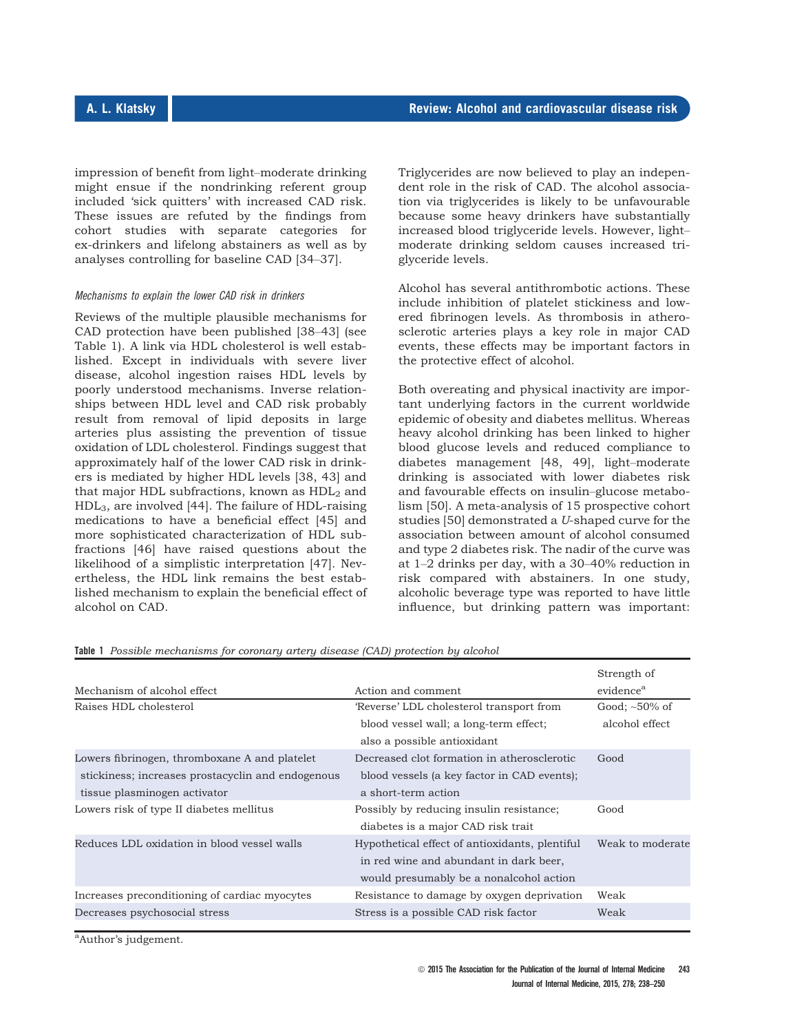impression of benefit from light–moderate drinking might ensue if the nondrinking referent group included 'sick quitters' with increased CAD risk. These issues are refuted by the findings from cohort studies with separate categories for ex-drinkers and lifelong abstainers as well as by analyses controlling for baseline CAD [34–37].

### Mechanisms to explain the lower CAD risk in drinkers

Reviews of the multiple plausible mechanisms for CAD protection have been published [38–43] (see Table 1). A link via HDL cholesterol is well established. Except in individuals with severe liver disease, alcohol ingestion raises HDL levels by poorly understood mechanisms. Inverse relationships between HDL level and CAD risk probably result from removal of lipid deposits in large arteries plus assisting the prevention of tissue oxidation of LDL cholesterol. Findings suggest that approximately half of the lower CAD risk in drinkers is mediated by higher HDL levels [38, 43] and that major HDL subfractions, known as  $HDL<sub>2</sub>$  and HDL3, are involved [44]. The failure of HDL-raising medications to have a beneficial effect [45] and more sophisticated characterization of HDL subfractions [46] have raised questions about the likelihood of a simplistic interpretation [47]. Nevertheless, the HDL link remains the best established mechanism to explain the beneficial effect of alcohol on CAD.

Triglycerides are now believed to play an independent role in the risk of CAD. The alcohol association via triglycerides is likely to be unfavourable because some heavy drinkers have substantially increased blood triglyceride levels. However, light– moderate drinking seldom causes increased triglyceride levels.

Alcohol has several antithrombotic actions. These include inhibition of platelet stickiness and lowered fibrinogen levels. As thrombosis in atherosclerotic arteries plays a key role in major CAD events, these effects may be important factors in the protective effect of alcohol.

Both overeating and physical inactivity are important underlying factors in the current worldwide epidemic of obesity and diabetes mellitus. Whereas heavy alcohol drinking has been linked to higher blood glucose levels and reduced compliance to diabetes management [48, 49], light–moderate drinking is associated with lower diabetes risk and favourable effects on insulin–glucose metabolism [50]. A meta-analysis of 15 prospective cohort studies [50] demonstrated a U-shaped curve for the association between amount of alcohol consumed and type 2 diabetes risk. The nadir of the curve was at 1–2 drinks per day, with a 30–40% reduction in risk compared with abstainers. In one study, alcoholic beverage type was reported to have little influence, but drinking pattern was important:

|                                                   |                                                                                                                                                         | Strength of           |  |
|---------------------------------------------------|---------------------------------------------------------------------------------------------------------------------------------------------------------|-----------------------|--|
| Mechanism of alcohol effect<br>Action and comment |                                                                                                                                                         | evidence <sup>a</sup> |  |
| Raises HDL cholesterol                            | 'Reverse' LDL cholesterol transport from                                                                                                                | Good; $\sim$ 50% of   |  |
|                                                   | blood vessel wall; a long-term effect;<br>also a possible antioxidant                                                                                   | alcohol effect        |  |
| Lowers fibrinogen, thromboxane A and platelet     | Decreased clot formation in atherosclerotic                                                                                                             | Good                  |  |
| stickiness; increases prostacyclin and endogenous | blood vessels (a key factor in CAD events);                                                                                                             |                       |  |
| tissue plasminogen activator                      | a short-term action                                                                                                                                     |                       |  |
| Lowers risk of type II diabetes mellitus          | Possibly by reducing insulin resistance;<br>diabetes is a major CAD risk trait                                                                          | Good                  |  |
| Reduces LDL oxidation in blood vessel walls       | Hypothetical effect of antioxidants, plentiful<br>Weak to moderate<br>in red wine and abundant in dark beer,<br>would presumably be a nonalcohol action |                       |  |
| Increases preconditioning of cardiac myocytes     | Resistance to damage by oxygen deprivation                                                                                                              | Weak                  |  |
| Decreases psychosocial stress                     | Stress is a possible CAD risk factor                                                                                                                    | Weak                  |  |

Table 1 Possible mechanisms for coronary artery disease (CAD) protection by alcohol

<sup>a</sup>Author's judgement.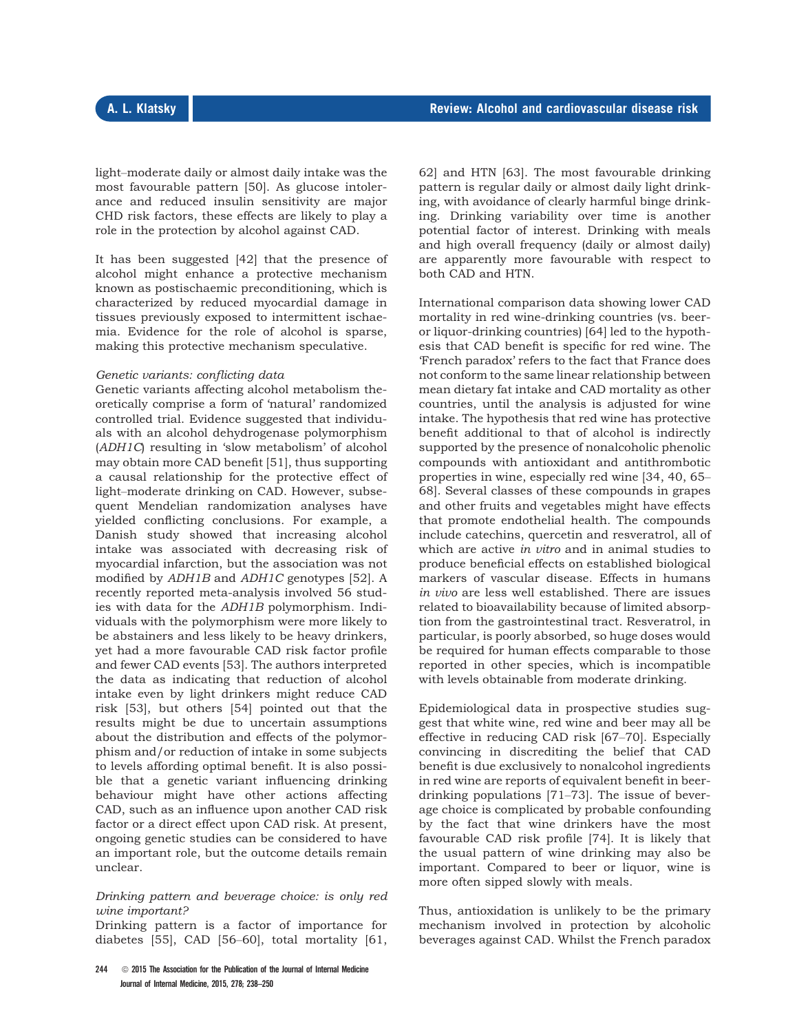light–moderate daily or almost daily intake was the most favourable pattern [50]. As glucose intolerance and reduced insulin sensitivity are major CHD risk factors, these effects are likely to play a

It has been suggested [42] that the presence of alcohol might enhance a protective mechanism known as postischaemic preconditioning, which is characterized by reduced myocardial damage in tissues previously exposed to intermittent ischaemia. Evidence for the role of alcohol is sparse, making this protective mechanism speculative.

role in the protection by alcohol against CAD.

# Genetic variants: conflicting data

Genetic variants affecting alcohol metabolism theoretically comprise a form of 'natural' randomized controlled trial. Evidence suggested that individuals with an alcohol dehydrogenase polymorphism (ADH1C) resulting in 'slow metabolism' of alcohol may obtain more CAD benefit [51], thus supporting a causal relationship for the protective effect of light–moderate drinking on CAD. However, subsequent Mendelian randomization analyses have yielded conflicting conclusions. For example, a Danish study showed that increasing alcohol intake was associated with decreasing risk of myocardial infarction, but the association was not modified by ADH1B and ADH1C genotypes [52]. A recently reported meta-analysis involved 56 studies with data for the ADH1B polymorphism. Individuals with the polymorphism were more likely to be abstainers and less likely to be heavy drinkers, yet had a more favourable CAD risk factor profile and fewer CAD events [53]. The authors interpreted the data as indicating that reduction of alcohol intake even by light drinkers might reduce CAD risk [53], but others [54] pointed out that the results might be due to uncertain assumptions about the distribution and effects of the polymorphism and/or reduction of intake in some subjects to levels affording optimal benefit. It is also possible that a genetic variant influencing drinking behaviour might have other actions affecting CAD, such as an influence upon another CAD risk factor or a direct effect upon CAD risk. At present, ongoing genetic studies can be considered to have an important role, but the outcome details remain unclear.

# Drinking pattern and beverage choice: is only red wine important?

Drinking pattern is a factor of importance for diabetes [55], CAD [56–60], total mortality [61, 62] and HTN [63]. The most favourable drinking pattern is regular daily or almost daily light drinking, with avoidance of clearly harmful binge drinking. Drinking variability over time is another potential factor of interest. Drinking with meals and high overall frequency (daily or almost daily) are apparently more favourable with respect to both CAD and HTN.

International comparison data showing lower CAD mortality in red wine-drinking countries (vs. beeror liquor-drinking countries) [64] led to the hypothesis that CAD benefit is specific for red wine. The 'French paradox' refers to the fact that France does not conform to the same linear relationship between mean dietary fat intake and CAD mortality as other countries, until the analysis is adjusted for wine intake. The hypothesis that red wine has protective benefit additional to that of alcohol is indirectly supported by the presence of nonalcoholic phenolic compounds with antioxidant and antithrombotic properties in wine, especially red wine [34, 40, 65– 68]. Several classes of these compounds in grapes and other fruits and vegetables might have effects that promote endothelial health. The compounds include catechins, quercetin and resveratrol, all of which are active in vitro and in animal studies to produce beneficial effects on established biological markers of vascular disease. Effects in humans in vivo are less well established. There are issues related to bioavailability because of limited absorption from the gastrointestinal tract. Resveratrol, in particular, is poorly absorbed, so huge doses would be required for human effects comparable to those reported in other species, which is incompatible with levels obtainable from moderate drinking.

Epidemiological data in prospective studies suggest that white wine, red wine and beer may all be effective in reducing CAD risk [67–70]. Especially convincing in discrediting the belief that CAD benefit is due exclusively to nonalcohol ingredients in red wine are reports of equivalent benefit in beerdrinking populations [71–73]. The issue of beverage choice is complicated by probable confounding by the fact that wine drinkers have the most favourable CAD risk profile [74]. It is likely that the usual pattern of wine drinking may also be important. Compared to beer or liquor, wine is more often sipped slowly with meals.

Thus, antioxidation is unlikely to be the primary mechanism involved in protection by alcoholic beverages against CAD. Whilst the French paradox

<sup>244</sup>  $\circ$  2015 The Association for the Publication of the Journal of Internal Medicine Journal of Internal Medicine, 2015, 278; 238–250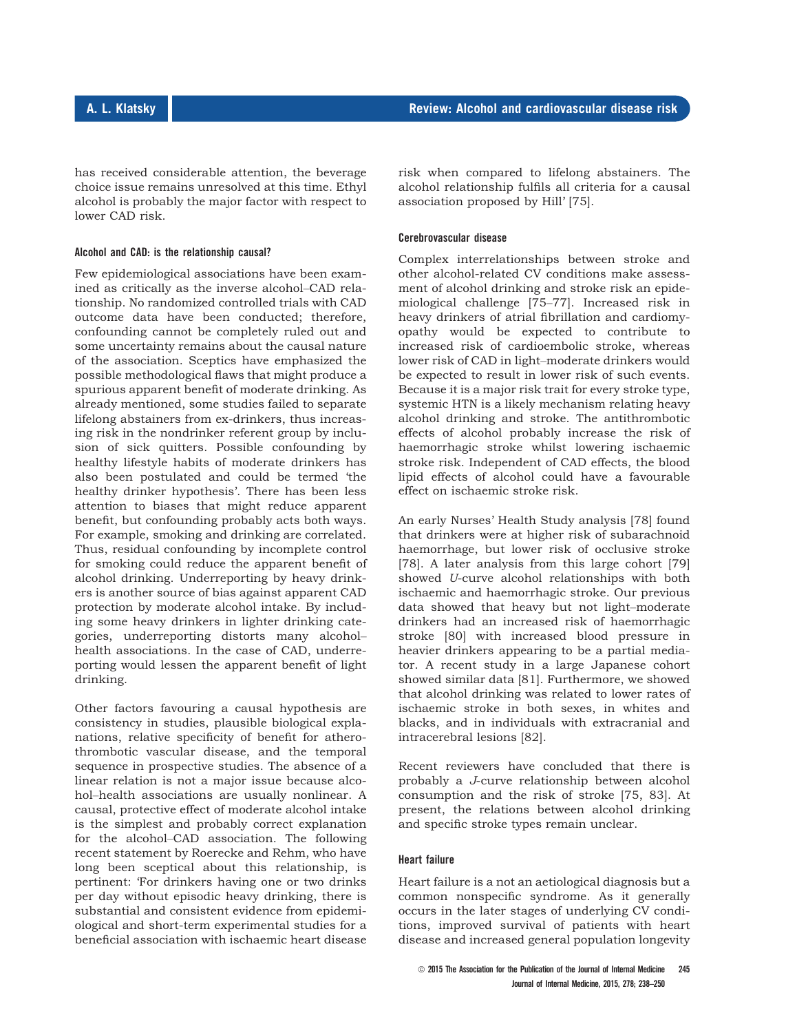has received considerable attention, the beverage choice issue remains unresolved at this time. Ethyl alcohol is probably the major factor with respect to lower CAD risk.

# Alcohol and CAD: is the relationship causal?

Few epidemiological associations have been examined as critically as the inverse alcohol–CAD relationship. No randomized controlled trials with CAD outcome data have been conducted; therefore, confounding cannot be completely ruled out and some uncertainty remains about the causal nature of the association. Sceptics have emphasized the possible methodological flaws that might produce a spurious apparent benefit of moderate drinking. As already mentioned, some studies failed to separate lifelong abstainers from ex-drinkers, thus increasing risk in the nondrinker referent group by inclusion of sick quitters. Possible confounding by healthy lifestyle habits of moderate drinkers has also been postulated and could be termed 'the healthy drinker hypothesis'. There has been less attention to biases that might reduce apparent benefit, but confounding probably acts both ways. For example, smoking and drinking are correlated. Thus, residual confounding by incomplete control for smoking could reduce the apparent benefit of alcohol drinking. Underreporting by heavy drinkers is another source of bias against apparent CAD protection by moderate alcohol intake. By including some heavy drinkers in lighter drinking categories, underreporting distorts many alcohol– health associations. In the case of CAD, underreporting would lessen the apparent benefit of light drinking.

Other factors favouring a causal hypothesis are consistency in studies, plausible biological explanations, relative specificity of benefit for atherothrombotic vascular disease, and the temporal sequence in prospective studies. The absence of a linear relation is not a major issue because alcohol–health associations are usually nonlinear. A causal, protective effect of moderate alcohol intake is the simplest and probably correct explanation for the alcohol–CAD association. The following recent statement by Roerecke and Rehm, who have long been sceptical about this relationship, is pertinent: 'For drinkers having one or two drinks per day without episodic heavy drinking, there is substantial and consistent evidence from epidemiological and short-term experimental studies for a beneficial association with ischaemic heart disease

risk when compared to lifelong abstainers. The alcohol relationship fulfils all criteria for a causal association proposed by Hill' [75].

# Cerebrovascular disease

Complex interrelationships between stroke and other alcohol-related CV conditions make assessment of alcohol drinking and stroke risk an epidemiological challenge [75–77]. Increased risk in heavy drinkers of atrial fibrillation and cardiomyopathy would be expected to contribute to increased risk of cardioembolic stroke, whereas lower risk of CAD in light–moderate drinkers would be expected to result in lower risk of such events. Because it is a major risk trait for every stroke type, systemic HTN is a likely mechanism relating heavy alcohol drinking and stroke. The antithrombotic effects of alcohol probably increase the risk of haemorrhagic stroke whilst lowering ischaemic stroke risk. Independent of CAD effects, the blood lipid effects of alcohol could have a favourable effect on ischaemic stroke risk.

An early Nurses' Health Study analysis [78] found that drinkers were at higher risk of subarachnoid haemorrhage, but lower risk of occlusive stroke [78]. A later analysis from this large cohort [79] showed U-curve alcohol relationships with both ischaemic and haemorrhagic stroke. Our previous data showed that heavy but not light–moderate drinkers had an increased risk of haemorrhagic stroke [80] with increased blood pressure in heavier drinkers appearing to be a partial mediator. A recent study in a large Japanese cohort showed similar data [81]. Furthermore, we showed that alcohol drinking was related to lower rates of ischaemic stroke in both sexes, in whites and blacks, and in individuals with extracranial and intracerebral lesions [82].

Recent reviewers have concluded that there is probably a J-curve relationship between alcohol consumption and the risk of stroke [75, 83]. At present, the relations between alcohol drinking and specific stroke types remain unclear.

# Heart failure

Heart failure is a not an aetiological diagnosis but a common nonspecific syndrome. As it generally occurs in the later stages of underlying CV conditions, improved survival of patients with heart disease and increased general population longevity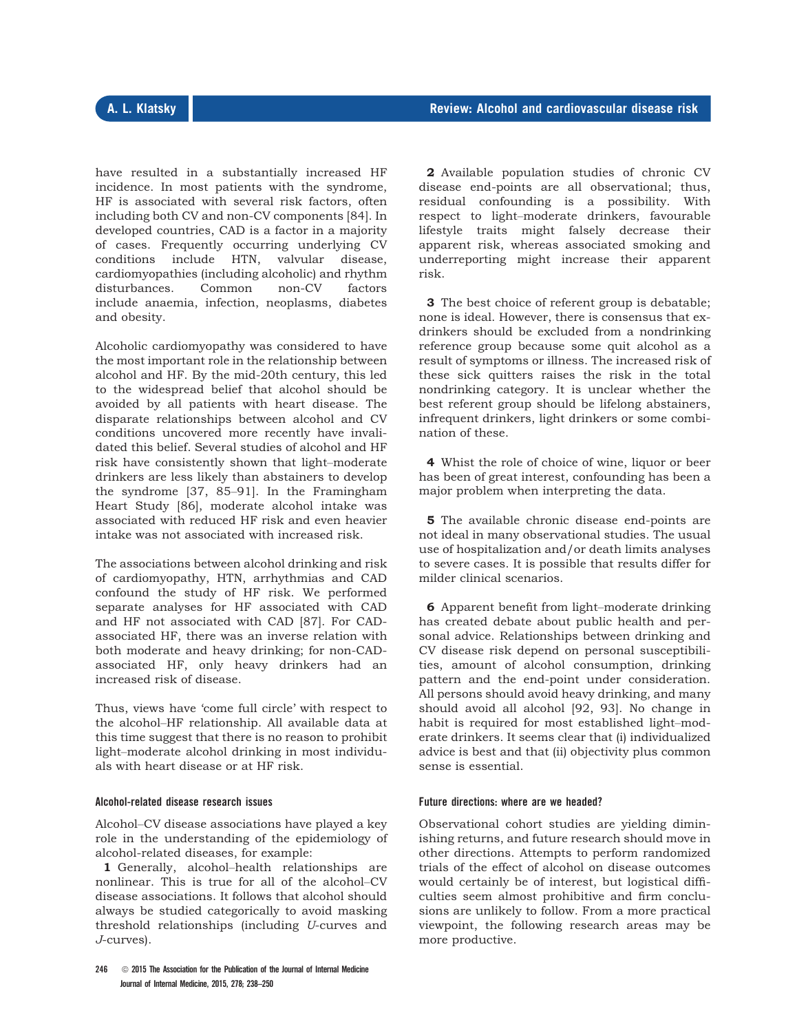have resulted in a substantially increased HF incidence. In most patients with the syndrome, HF is associated with several risk factors, often including both CV and non-CV components [84]. In developed countries, CAD is a factor in a majority of cases. Frequently occurring underlying CV conditions include HTN, valvular disease, cardiomyopathies (including alcoholic) and rhythm disturbances. Common non-CV factors include anaemia, infection, neoplasms, diabetes and obesity.

Alcoholic cardiomyopathy was considered to have the most important role in the relationship between alcohol and HF. By the mid-20th century, this led to the widespread belief that alcohol should be avoided by all patients with heart disease. The disparate relationships between alcohol and CV conditions uncovered more recently have invalidated this belief. Several studies of alcohol and HF risk have consistently shown that light–moderate drinkers are less likely than abstainers to develop the syndrome [37, 85–91]. In the Framingham Heart Study [86], moderate alcohol intake was associated with reduced HF risk and even heavier intake was not associated with increased risk.

The associations between alcohol drinking and risk of cardiomyopathy, HTN, arrhythmias and CAD confound the study of HF risk. We performed separate analyses for HF associated with CAD and HF not associated with CAD [87]. For CADassociated HF, there was an inverse relation with both moderate and heavy drinking; for non-CADassociated HF, only heavy drinkers had an increased risk of disease.

Thus, views have 'come full circle' with respect to the alcohol–HF relationship. All available data at this time suggest that there is no reason to prohibit light–moderate alcohol drinking in most individuals with heart disease or at HF risk.

# Alcohol-related disease research issues

Alcohol–CV disease associations have played a key role in the understanding of the epidemiology of alcohol-related diseases, for example:

1 Generally, alcohol–health relationships are nonlinear. This is true for all of the alcohol–CV disease associations. It follows that alcohol should always be studied categorically to avoid masking threshold relationships (including U-curves and J-curves).

246  $\circ$  2015 The Association for the Publication of the Journal of Internal Medicine Journal of Internal Medicine, 2015, 278; 238–250

2 Available population studies of chronic CV disease end-points are all observational; thus, residual confounding is a possibility. With respect to light–moderate drinkers, favourable lifestyle traits might falsely decrease their apparent risk, whereas associated smoking and underreporting might increase their apparent risk.

3 The best choice of referent group is debatable; none is ideal. However, there is consensus that exdrinkers should be excluded from a nondrinking reference group because some quit alcohol as a result of symptoms or illness. The increased risk of these sick quitters raises the risk in the total nondrinking category. It is unclear whether the best referent group should be lifelong abstainers, infrequent drinkers, light drinkers or some combination of these.

4 Whist the role of choice of wine, liquor or beer has been of great interest, confounding has been a major problem when interpreting the data.

5 The available chronic disease end-points are not ideal in many observational studies. The usual use of hospitalization and/or death limits analyses to severe cases. It is possible that results differ for milder clinical scenarios.

6 Apparent benefit from light–moderate drinking has created debate about public health and personal advice. Relationships between drinking and CV disease risk depend on personal susceptibilities, amount of alcohol consumption, drinking pattern and the end-point under consideration. All persons should avoid heavy drinking, and many should avoid all alcohol [92, 93]. No change in habit is required for most established light–moderate drinkers. It seems clear that (i) individualized advice is best and that (ii) objectivity plus common sense is essential.

### Future directions: where are we headed?

Observational cohort studies are yielding diminishing returns, and future research should move in other directions. Attempts to perform randomized trials of the effect of alcohol on disease outcomes would certainly be of interest, but logistical difficulties seem almost prohibitive and firm conclusions are unlikely to follow. From a more practical viewpoint, the following research areas may be more productive.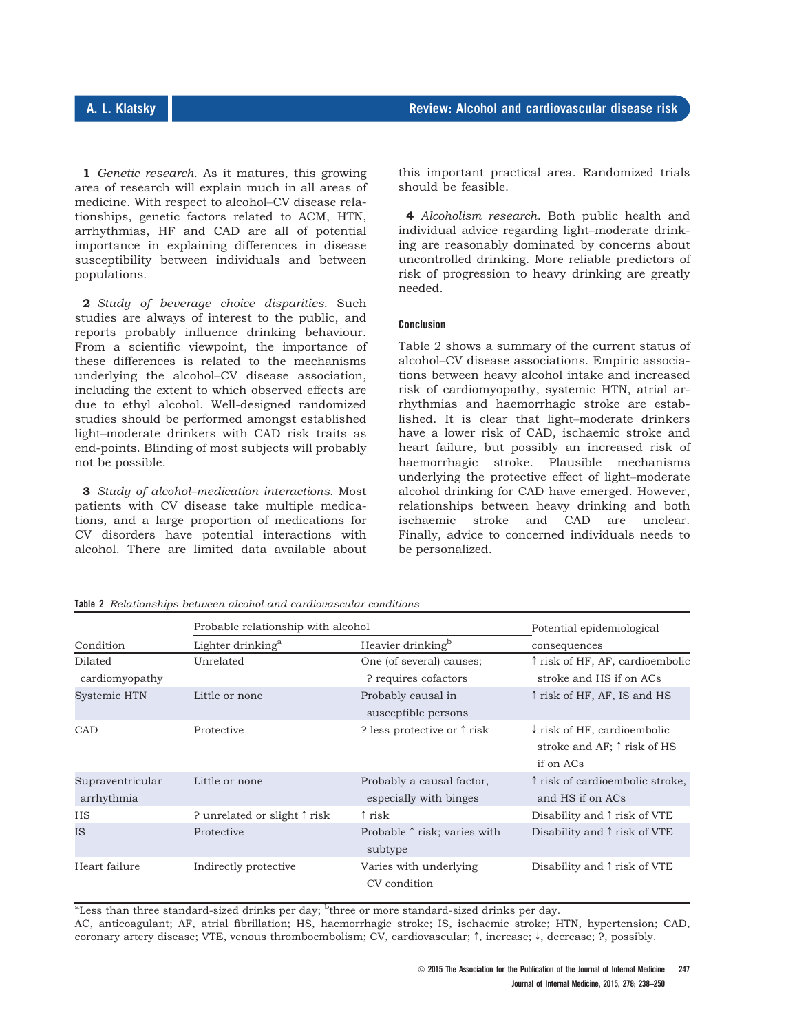1 Genetic research. As it matures, this growing area of research will explain much in all areas of medicine. With respect to alcohol–CV disease relationships, genetic factors related to ACM, HTN, arrhythmias, HF and CAD are all of potential importance in explaining differences in disease susceptibility between individuals and between populations.

2 Study of beverage choice disparities. Such studies are always of interest to the public, and reports probably influence drinking behaviour. From a scientific viewpoint, the importance of these differences is related to the mechanisms underlying the alcohol–CV disease association, including the extent to which observed effects are due to ethyl alcohol. Well-designed randomized studies should be performed amongst established light–moderate drinkers with CAD risk traits as end-points. Blinding of most subjects will probably not be possible.

3 Study of alcohol–medication interactions. Most patients with CV disease take multiple medications, and a large proportion of medications for CV disorders have potential interactions with alcohol. There are limited data available about this important practical area. Randomized trials should be feasible.

4 Alcoholism research. Both public health and individual advice regarding light–moderate drinking are reasonably dominated by concerns about uncontrolled drinking. More reliable predictors of risk of progression to heavy drinking are greatly needed.

# Conclusion

Table 2 shows a summary of the current status of alcohol–CV disease associations. Empiric associations between heavy alcohol intake and increased risk of cardiomyopathy, systemic HTN, atrial arrhythmias and haemorrhagic stroke are established. It is clear that light–moderate drinkers have a lower risk of CAD, ischaemic stroke and heart failure, but possibly an increased risk of haemorrhagic stroke. Plausible mechanisms underlying the protective effect of light–moderate alcohol drinking for CAD have emerged. However, relationships between heavy drinking and both ischaemic stroke and CAD are unclear. Finally, advice to concerned individuals needs to be personalized.

Table 2 Relationships between alcohol and cardiovascular conditions

|                                | Probable relationship with alcohol    |                                                     | Potential epidemiological                                                                   |  |
|--------------------------------|---------------------------------------|-----------------------------------------------------|---------------------------------------------------------------------------------------------|--|
| Condition                      | Lighter drinking <sup>a</sup>         | Heavier drinking <sup>b</sup>                       | consequences                                                                                |  |
| Dilated<br>cardiomyopathy      | Unrelated                             | One (of several) causes;<br>? requires cofactors    | ↑ risk of HF, AF, cardioembolic<br>stroke and HS if on ACs                                  |  |
| Systemic HTN                   | Little or none                        | Probably causal in<br>susceptible persons           | ↑ risk of HF, AF, IS and HS                                                                 |  |
| CAD                            | Protective                            | ? less protective or $\uparrow$ risk                | $\downarrow$ risk of HF, cardioembolic<br>stroke and AF; $\uparrow$ risk of HS<br>if on ACs |  |
| Supraventricular<br>arrhythmia | Little or none                        | Probably a causal factor,<br>especially with binges | ↑ risk of cardioembolic stroke,<br>and HS if on ACs                                         |  |
| HS                             | ? unrelated or slight $\uparrow$ risk | $\uparrow$ risk                                     | Disability and $\uparrow$ risk of VTE                                                       |  |
| <b>IS</b>                      | Protective                            | Probable $\uparrow$ risk; varies with<br>subtype    | Disability and $\uparrow$ risk of VTE                                                       |  |
| Heart failure                  | Indirectly protective                 | Varies with underlying<br>CV condition              | Disability and $\uparrow$ risk of VTE                                                       |  |

aLess than three standard-sized drinks per day; <sup>b</sup>three or more standard-sized drinks per day.

AC, anticoagulant; AF, atrial fibrillation; HS, haemorrhagic stroke; IS, ischaemic stroke; HTN, hypertension; CAD, coronary artery disease; VTE, venous thromboembolism; CV, cardiovascular; ↑, increase; ↓, decrease; ?, possibly.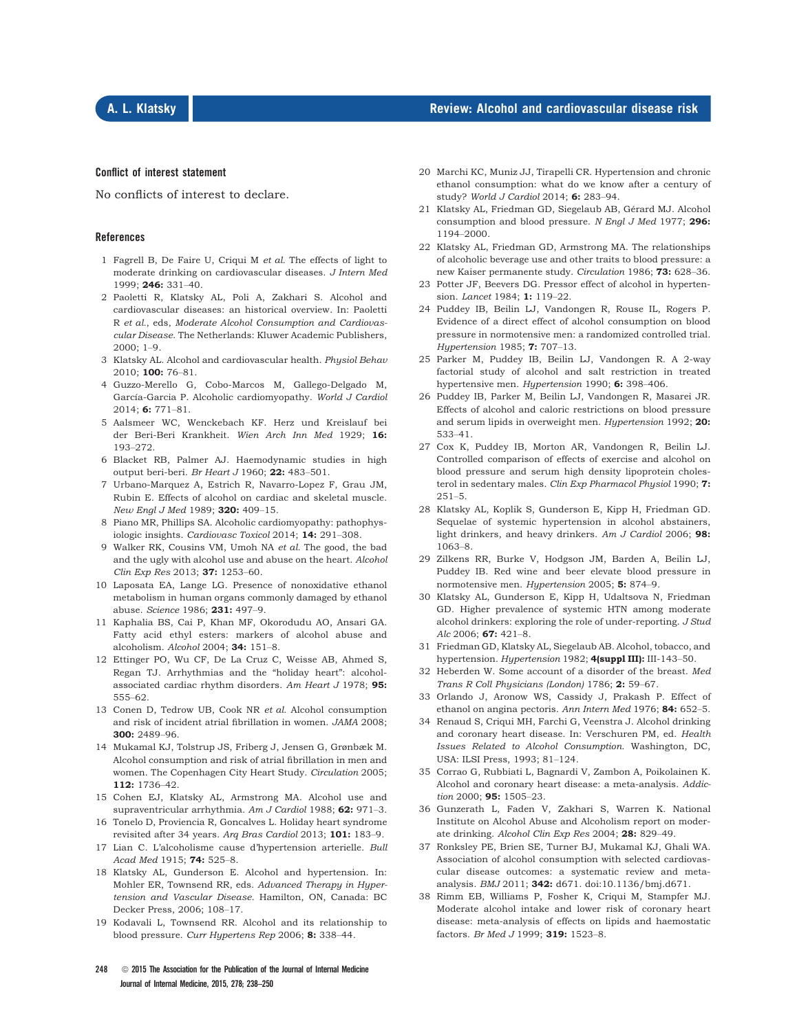# A. L. Klatsky Review: Alcohol and cardiovascular disease risk

# Conflict of interest statement

No conflicts of interest to declare.

### References

- 1 Fagrell B, De Faire U, Criqui M et al. The effects of light to moderate drinking on cardiovascular diseases. J Intern Med 1999; 246: <sup>331</sup>–40.
- 2 Paoletti R, Klatsky AL, Poli A, Zakhari S. Alcohol and cardiovascular diseases: an historical overview. In: Paoletti R et al., eds, Moderate Alcohol Consumption and Cardiovascular Disease. The Netherlands: Kluwer Academic Publishers,  $2000 \cdot 1 - 9$
- 3 Klatsky AL. Alcohol and cardiovascular health. Physiol Behav 2010; 100: <sup>76</sup>–81.
- 4 Guzzo-Merello G, Cobo-Marcos M, Gallego-Delgado M, García-Garcia P. Alcoholic cardiomyopathy. World J Cardiol 2014; 6: <sup>771</sup>–81.
- 5 Aalsmeer WC, Wenckebach KF. Herz und Kreislauf bei der Beri-Beri Krankheit. Wien Arch Inn Med 1929; 16: 193–272.
- 6 Blacket RB, Palmer AJ. Haemodynamic studies in high output beri-beri. Br Heart J 1960; 22: <sup>483</sup>–501.
- 7 Urbano-Marquez A, Estrich R, Navarro-Lopez F, Grau JM, Rubin E. Effects of alcohol on cardiac and skeletal muscle. New Engl J Med 1989; 320: 409-15.
- 8 Piano MR, Phillips SA. Alcoholic cardiomyopathy: pathophysiologic insights. Cardiovasc Toxicol 2014; 14: <sup>291</sup>–308.
- 9 Walker RK, Cousins VM, Umoh NA et al. The good, the bad and the ugly with alcohol use and abuse on the heart. Alcohol Clin Exp Res 2013; 37: <sup>1253</sup>–60.
- 10 Laposata EA, Lange LG. Presence of nonoxidative ethanol metabolism in human organs commonly damaged by ethanol abuse. Science 1986; 231: <sup>497</sup>–9.
- 11 Kaphalia BS, Cai P, Khan MF, Okorodudu AO, Ansari GA. Fatty acid ethyl esters: markers of alcohol abuse and alcoholism. Alcohol 2004; 34: <sup>151</sup>–8.
- 12 Ettinger PO, Wu CF, De La Cruz C, Weisse AB, Ahmed S, Regan TJ. Arrhythmias and the "holiday heart": alcoholassociated cardiac rhythm disorders. Am Heart J 1978; 95: 555–62.
- 13 Conen D, Tedrow UB, Cook NR et al. Alcohol consumption and risk of incident atrial fibrillation in women. JAMA 2008; 300: <sup>2489</sup>–96. 14 Mukamal KJ, Tolstrup JS, Friberg J, Jensen G, Grønbæk M.
- Alcohol consumption and risk of atrial fibrillation in men and women. The Copenhagen City Heart Study. Circulation 2005; 112: <sup>1736</sup>–42.
- 15 Cohen EJ, Klatsky AL, Armstrong MA. Alcohol use and supraventricular arrhythmia. Am J Cardiol 1988; 62: 971-3.
- 16 Tonelo D, Proviencia R, Goncalves L. Holiday heart syndrome revisited after 34 years. Arq Bras Cardiol 2013; 101: <sup>183</sup>–9.
- 17 Lian C. L'alcoholisme cause d'hypertension arterielle. Bull Acad Med 1915; 74: <sup>525</sup>–8.
- 18 Klatsky AL, Gunderson E. Alcohol and hypertension. In: Mohler ER, Townsend RR, eds. Advanced Therapy in Hypertension and Vascular Disease. Hamilton, ON, Canada: BC Decker Press, 2006; 108–17.
- 19 Kodavali L, Townsend RR. Alcohol and its relationship to blood pressure. Curr Hypertens Rep 2006; 8: <sup>338</sup>–44.
- 248  $\circ$  2015 The Association for the Publication of the Journal of Internal Medicine Journal of Internal Medicine, 2015, 278; 238–250
- 20 Marchi KC, Muniz JJ, Tirapelli CR. Hypertension and chronic ethanol consumption: what do we know after a century of study? World J Cardiol 2014; 6: 283-94.
- 21 Klatsky AL, Friedman GD, Siegelaub AB, Gerard MJ. Alcohol consumption and blood pressure. N Engl J Med 1977: 296: 1194–2000.
- 22 Klatsky AL, Friedman GD, Armstrong MA. The relationships of alcoholic beverage use and other traits to blood pressure: a new Kaiser permanente study. Circulation 1986; 73: <sup>628</sup>–36.
- 23 Potter JF, Beevers DG. Pressor effect of alcohol in hypertension. Lancet 1984; **1:** 119-22.
- 24 Puddey IB, Beilin LJ, Vandongen R, Rouse IL, Rogers P. Evidence of a direct effect of alcohol consumption on blood pressure in normotensive men: a randomized controlled trial. Hypertension 1985; 7: <sup>707</sup>–13.
- 25 Parker M, Puddey IB, Beilin LJ, Vandongen R. A 2-way factorial study of alcohol and salt restriction in treated hypertensive men. Hypertension 1990; 6: 398-406.
- 26 Puddey IB, Parker M, Beilin LJ, Vandongen R, Masarei JR. Effects of alcohol and caloric restrictions on blood pressure and serum lipids in overweight men. Hypertension 1992; 20: 533–41.
- 27 Cox K, Puddey IB, Morton AR, Vandongen R, Beilin LJ. Controlled comparison of effects of exercise and alcohol on blood pressure and serum high density lipoprotein cholesterol in sedentary males. Clin Exp Pharmacol Physiol 1990; 7:  $251 - 5$ .
- 28 Klatsky AL, Koplik S, Gunderson E, Kipp H, Friedman GD. Sequelae of systemic hypertension in alcohol abstainers, light drinkers, and heavy drinkers. Am J Cardiol 2006; 98: 1063–8.
- 29 Zilkens RR, Burke V, Hodgson JM, Barden A, Beilin LJ, Puddey IB. Red wine and beer elevate blood pressure in normotensive men. Hypertension 2005; 5: 874-9.
- 30 Klatsky AL, Gunderson E, Kipp H, Udaltsova N, Friedman GD. Higher prevalence of systemic HTN among moderate alcohol drinkers: exploring the role of under-reporting. J Stud Alc 2006; 67: <sup>421</sup>–8.
- 31 Friedman GD, Klatsky AL, Siegelaub AB. Alcohol, tobacco, and hypertension. Hypertension 1982; 4(suppl III): III-143-50.
- 32 Heberden W. Some account of a disorder of the breast. Med Trans R Coll Physicians (London) 1786; 2: <sup>59</sup>–67.
- 33 Orlando J, Aronow WS, Cassidy J, Prakash P. Effect of ethanol on angina pectoris. Ann Intern Med 1976; 84: 652-5.
- 34 Renaud S, Criqui MH, Farchi G, Veenstra J. Alcohol drinking and coronary heart disease. In: Verschuren PM, ed. Health Issues Related to Alcohol Consumption. Washington, DC, USA: ILSI Press, 1993; 81–124.
- 35 Corrao G, Rubbiati L, Bagnardi V, Zambon A, Poikolainen K. Alcohol and coronary heart disease: a meta-analysis. Addiction 2000: **95:** 1505-23.
- 36 Gunzerath L, Faden V, Zakhari S, Warren K. National Institute on Alcohol Abuse and Alcoholism report on moderate drinking. Alcohol Clin Exp Res 2004; 28: <sup>829</sup>–49.
- 37 Ronksley PE, Brien SE, Turner BJ, Mukamal KJ, Ghali WA. Association of alcohol consumption with selected cardiovascular disease outcomes: a systematic review and metaanalysis. BMJ 2011; 342: d671. doi[:10.1136/bmj.d671](http://dx.doi.org/10.1136/bmj.d671).
- 38 Rimm EB, Williams P, Fosher K, Criqui M, Stampfer MJ. Moderate alcohol intake and lower risk of coronary heart disease: meta-analysis of effects on lipids and haemostatic factors. Br Med J 1999; 319: 1523-8.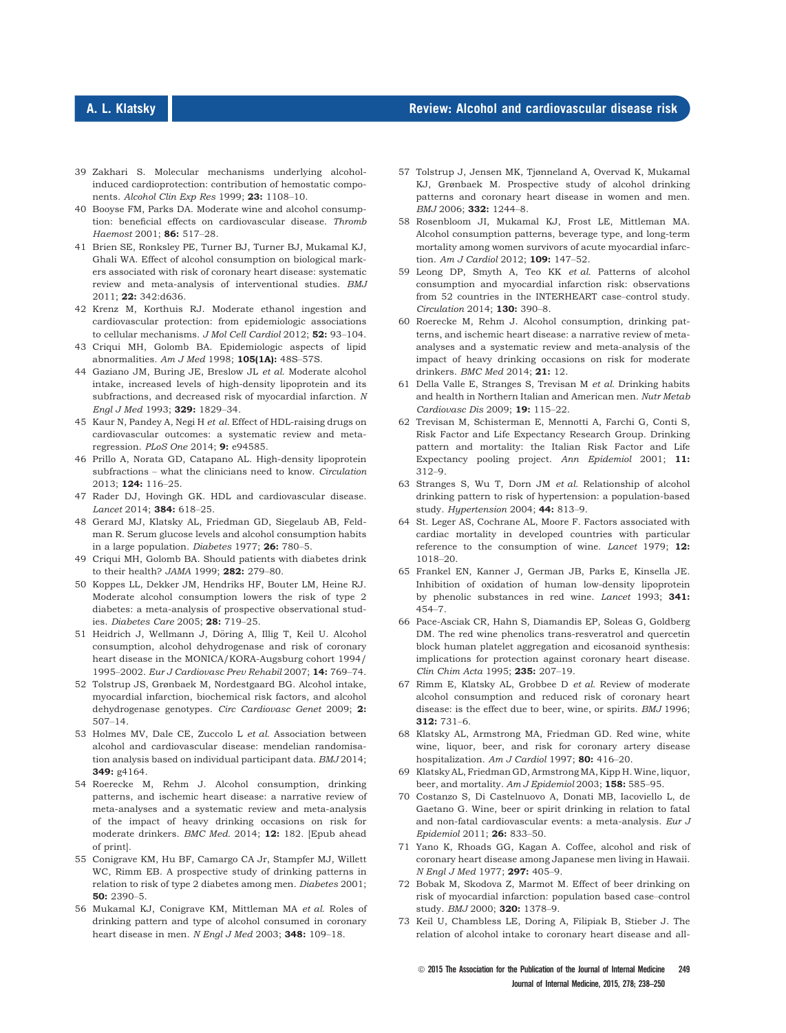# A. L. Klatsky Review: Alcohol and cardiovascular disease risk

- 39 Zakhari S. Molecular mechanisms underlying alcoholinduced cardioprotection: contribution of hemostatic components. Alcohol Clin Exp Res 1999; 23: <sup>1108</sup>–10.
- 40 Booyse FM, Parks DA. Moderate wine and alcohol consumption: beneficial effects on cardiovascular disease. Thromb Haemost 2001; 86: <sup>517</sup>–28.
- 41 Brien SE, Ronksley PE, Turner BJ, Turner BJ, Mukamal KJ, Ghali WA. Effect of alcohol consumption on biological markers associated with risk of coronary heart disease: systematic review and meta-analysis of interventional studies. BMJ
- 2011; 22: 342:d636. 42 Krenz M, Korthuis RJ. Moderate ethanol ingestion and cardiovascular protection: from epidemiologic associations to cellular mechanisms. J Mol Cell Cardiol 2012; 52: <sup>93</sup>–104.
- 43 Criqui MH, Golomb BA. Epidemiologic aspects of lipid abnormalities. Am J Med 1998; 105(1A): 48S–57S.
- 44 Gaziano JM, Buring JE, Breslow JL et al. Moderate alcohol intake, increased levels of high-density lipoprotein and its subfractions, and decreased risk of myocardial infarction. N Engl J Med 1993; 329: <sup>1829</sup>–34.
- 45 Kaur N, Pandey A, Negi H et al. Effect of HDL-raising drugs on cardiovascular outcomes: a systematic review and metaregression. PLoS One 2014; 9: e94585.
- 46 Prillo A, Norata GD, Catapano AL. High-density lipoprotein subfractions – what the clinicians need to know. Circulation 2013; 124: <sup>116</sup>–25.
- 47 Rader DJ, Hovingh GK. HDL and cardiovascular disease. Lancet 2014; 384: <sup>618</sup>–25.
- 48 Gerard MJ, Klatsky AL, Friedman GD, Siegelaub AB, Feldman R. Serum glucose levels and alcohol consumption habits in a large population. Diabetes 1977; 26: <sup>780</sup>–5.
- 49 Criqui MH, Golomb BA. Should patients with diabetes drink to their health? JAMA 1999; 282: <sup>279</sup>–80.
- 50 Koppes LL, Dekker JM, Hendriks HF, Bouter LM, Heine RJ. Moderate alcohol consumption lowers the risk of type 2 diabetes: a meta-analysis of prospective observational studies. Diabetes Care 2005; 28: <sup>719</sup>–25.
- 51 Heidrich J, Wellmann J, Döring A, Illig T, Keil U. Alcohol consumption, alcohol dehydrogenase and risk of coronary heart disease in the MONICA/KORA-Augsburg cohort 1994/ <sup>1995</sup>–2002. Eur J Cardiovasc Prev Rehabil 2007; 14: <sup>769</sup>–74.
- 52 Tolstrup JS, Grønbaek M, Nordestgaard BG. Alcohol intake, myocardial infarction, biochemical risk factors, and alcohol dehydrogenase genotypes. Circ Cardiovasc Genet 2009; 2: 507–14.
- 53 Holmes MV, Dale CE, Zuccolo L et al. Association between alcohol and cardiovascular disease: mendelian randomisation analysis based on individual participant data. BMJ 2014; 349: g4164.
- 54 Roerecke M, Rehm J. Alcohol consumption, drinking patterns, and ischemic heart disease: a narrative review of meta-analyses and a systematic review and meta-analysis of the impact of heavy drinking occasions on risk for moderate drinkers. BMC Med. 2014; 12: 182. [Epub ahead of print].
- 55 Conigrave KM, Hu BF, Camargo CA Jr, Stampfer MJ, Willett WC, Rimm EB. A prospective study of drinking patterns in relation to risk of type 2 diabetes among men. Diabetes 2001; 50: <sup>2390</sup>–5.
- 56 Mukamal KJ, Conigrave KM, Mittleman MA et al. Roles of drinking pattern and type of alcohol consumed in coronary heart disease in men. N Engl J Med 2003; 348: 109-18.
- 57 Tolstrup J, Jensen MK, Tjønneland A, Overvad K, Mukamal KJ, Grønbaek M. Prospective study of alcohol drinking patterns and coronary heart disease in women and men. BMJ 2006; 332: <sup>1244</sup>–8.
- 58 Rosenbloom JI, Mukamal KJ, Frost LE, Mittleman MA. Alcohol consumption patterns, beverage type, and long-term mortality among women survivors of acute myocardial infarction. Am J Cardiol 2012; 109: <sup>147</sup>–52.
- 59 Leong DP, Smyth A, Teo KK et al. Patterns of alcohol consumption and myocardial infarction risk: observations from 52 countries in the INTERHEART case–control study. Circulation 2014; 130: <sup>390</sup>–8.
- 60 Roerecke M, Rehm J. Alcohol consumption, drinking patterns, and ischemic heart disease: a narrative review of metaanalyses and a systematic review and meta-analysis of the impact of heavy drinking occasions on risk for moderate drinkers. BMC Med 2014; 21: 12.
- 61 Della Valle E, Stranges S, Trevisan M et al. Drinking habits and health in Northern Italian and American men. Nutr Metab Cardiovasc Dis 2009; 19: <sup>115</sup>–22.
- 62 Trevisan M, Schisterman E, Mennotti A, Farchi G, Conti S, Risk Factor and Life Expectancy Research Group. Drinking pattern and mortality: the Italian Risk Factor and Life Expectancy pooling project. Ann Epidemiol 2001; 11: 312–9.
- 63 Stranges S, Wu T, Dorn JM et al. Relationship of alcohol drinking pattern to risk of hypertension: a population-based study. Hypertension 2004; 44: 813-9.
- 64 St. Leger AS, Cochrane AL, Moore F. Factors associated with cardiac mortality in developed countries with particular reference to the consumption of wine. Lancet 1979; 12: 1018–20.
- 65 Frankel EN, Kanner J, German JB, Parks E, Kinsella JE. Inhibition of oxidation of human low-density lipoprotein by phenolic substances in red wine. Lancet 1993; 341: 454–7.
- 66 Pace-Asciak CR, Hahn S, Diamandis EP, Soleas G, Goldberg DM. The red wine phenolics trans-resveratrol and quercetin block human platelet aggregation and eicosanoid synthesis: implications for protection against coronary heart disease. Clin Chim Acta 1995; 235: <sup>207</sup>–19.
- 67 Rimm E, Klatsky AL, Grobbee D et al. Review of moderate alcohol consumption and reduced risk of coronary heart disease: is the effect due to beer, wine, or spirits. BMJ 1996; 312: <sup>731</sup>–6.
- 68 Klatsky AL, Armstrong MA, Friedman GD. Red wine, white wine, liquor, beer, and risk for coronary artery disease hospitalization. Am J Cardiol 1997; 80: 416-20.
- 69 Klatsky AL, Friedman GD, Armstrong MA, Kipp H. Wine, liquor, beer, and mortality. Am J Epidemiol 2003; 158: 585-95.
- 70 Costanzo S, Di Castelnuovo A, Donati MB, Iacoviello L, de Gaetano G. Wine, beer or spirit drinking in relation to fatal and non-fatal cardiovascular events: a meta-analysis. Eur J Epidemiol 2011; 26: <sup>833</sup>–50.
- 71 Yano K, Rhoads GG, Kagan A. Coffee, alcohol and risk of coronary heart disease among Japanese men living in Hawaii. N Engl J Med 1977; 297: <sup>405</sup>–9.
- 72 Bobak M, Skodova Z, Marmot M. Effect of beer drinking on risk of myocardial infarction: population based case–control study. BMJ 2000; 320: <sup>1378</sup>–9.
- 73 Keil U, Chambless LE, Doring A, Filipiak B, Stieber J. The relation of alcohol intake to coronary heart disease and all-